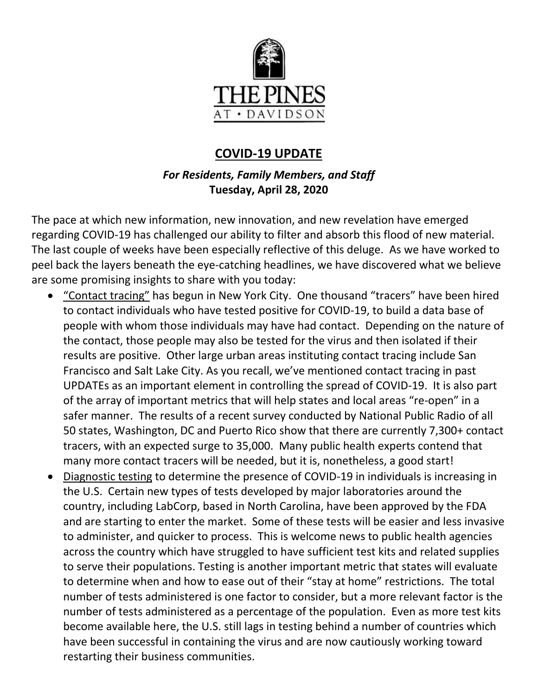

# **COVID-19 UPDATE**

## *For Residents, Family Members, and Staff* **Tuesday, April 28, 2020**

The pace at which new information, new innovation, and new revelation have emerged regarding COVID-19 has challenged our ability to filter and absorb this flood of new material. The last couple of weeks have been especially reflective of this deluge. As we have worked to peel back the layers beneath the eye-catching headlines, we have discovered what we believe are some promising insights to share with you today:

- "Contact tracing" has begun in New York City. One thousand "tracers" have been hired to contact individuals who have tested positive for COVID-19, to build a data base of people with whom those individuals may have had contact. Depending on the nature of the contact, those people may also be tested for the virus and then isolated if their results are positive. Other large urban areas instituting contact tracing include San Francisco and Salt Lake City. As you recall, we've mentioned contact tracing in past UPDATEs as an important element in controlling the spread of COVID-19. It is also part of the array of important metrics that will help states and local areas "re-open" in a safer manner. The results of a recent survey conducted by National Public Radio of all 50 states, Washington, DC and Puerto Rico show that there are currently 7,300+ contact tracers, with an expected surge to 35,000. Many public health experts contend that many more contact tracers will be needed, but it is, nonetheless, a good start!
- Diagnostic testing to determine the presence of COVID-19 in individuals is increasing in the U.S. Certain new types of tests developed by major laboratories around the country, including LabCorp, based in North Carolina, have been approved by the FDA and are starting to enter the market. Some of these tests will be easier and less invasive to administer, and quicker to process. This is welcome news to public health agencies across the country which have struggled to have sufficient test kits and related supplies to serve their populations. Testing is another important metric that states will evaluate to determine when and how to ease out of their "stay at home" restrictions. The total number of tests administered is one factor to consider, but a more relevant factor is the number of tests administered as a percentage of the population. Even as more test kits become available here, the U.S. still lags in testing behind a number of countries which have been successful in containing the virus and are now cautiously working toward restarting their business communities.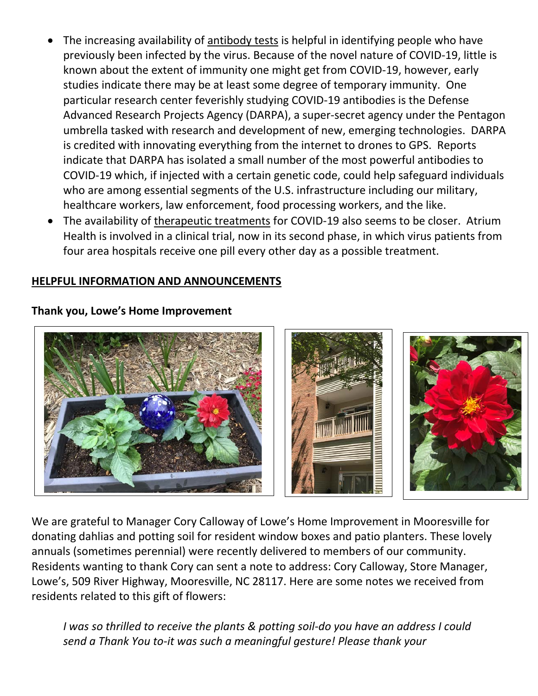- The increasing availability of antibody tests is helpful in identifying people who have previously been infected by the virus. Because of the novel nature of COVID-19, little is known about the extent of immunity one might get from COVID-19, however, early studies indicate there may be at least some degree of temporary immunity. One particular research center feverishly studying COVID-19 antibodies is the Defense Advanced Research Projects Agency (DARPA), a super-secret agency under the Pentagon umbrella tasked with research and development of new, emerging technologies. DARPA is credited with innovating everything from the internet to drones to GPS. Reports indicate that DARPA has isolated a small number of the most powerful antibodies to COVID-19 which, if injected with a certain genetic code, could help safeguard individuals who are among essential segments of the U.S. infrastructure including our military, healthcare workers, law enforcement, food processing workers, and the like.
- The availability of therapeutic treatments for COVID-19 also seems to be closer. Atrium Health is involved in a clinical trial, now in its second phase, in which virus patients from four area hospitals receive one pill every other day as a possible treatment.

### **HELPFUL INFORMATION AND ANNOUNCEMENTS**

**Thank you, Lowe's Home Improvement**

We are grateful to Manager Cory Calloway of Lowe's Home Improvement in Mooresville for donating dahlias and potting soil for resident window boxes and patio planters. These lovely annuals (sometimes perennial) were recently delivered to members of our community. Residents wanting to thank Cory can sent a note to address: Cory Calloway, Store Manager, Lowe's, 509 River Highway, Mooresville, NC 28117. Here are some notes we received from residents related to this gift of flowers:

*I was so thrilled to receive the plants & potting soil-do you have an address I could send a Thank You to-it was such a meaningful gesture! Please thank your*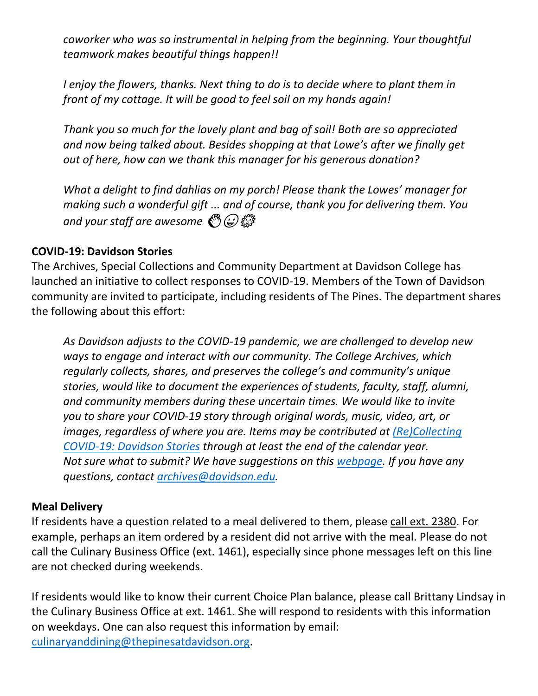*coworker who was so instrumental in helping from the beginning. Your thoughtful teamwork makes beautiful things happen!!*

*I enjoy the flowers, thanks. Next thing to do is to decide where to plant them in front of my cottage. It will be good to feel soil on my hands again!*

*Thank you so much for the lovely plant and bag of soil! Both are so appreciated and now being talked about. Besides shopping at that Lowe's after we finally get out of here, how can we thank this manager for his generous donation?*

*What a delight to find dahlias on my porch! Please thank the Lowes' manager for making such a wonderful gift ... and of course, thank you for delivering them. You and your staff are awesome* �

### **COVID-19: Davidson Stories**

The Archives, Special Collections and Community Department at Davidson College has launched an initiative to collect responses to COVID-19. Members of the Town of Davidson community are invited to participate, including residents of The Pines. The department shares the following about this effort:

*As Davidson adjusts to the COVID-19 pandemic, we are challenged to develop new ways to engage and interact with our community. The College Archives, which regularly collects, shares, and preserves the college's and community's unique stories, would like to document the experiences of students, faculty, staff, alumni, and community members during these uncertain times. We would like to invite you to share your COVID-19 story through original words, music, video, art, or images, regardless of where you are. Items may be contributed at [\(Re\)Collecting](https://nam10.safelinks.protection.outlook.com/?url=https%3A%2F%2Fdavidsonlibraryexhibits.net%2Fcovid-19%2F&data=02%7C01%7Cdelandi%40davidson.edu%7C149e89e87c9e4c5083bd08d7e858750c%7C35d8763cd2b14213b629f5df0af9e3c3%7C1%7C0%7C637233339138494356&sdata=fiUNqh1X1fEczAs7PWPWNzyOtfUrWrxg1Ho8rl1sRgo%3D&reserved=0)  [COVID-19: Davidson Stories](https://nam10.safelinks.protection.outlook.com/?url=https%3A%2F%2Fdavidsonlibraryexhibits.net%2Fcovid-19%2F&data=02%7C01%7Cdelandi%40davidson.edu%7C149e89e87c9e4c5083bd08d7e858750c%7C35d8763cd2b14213b629f5df0af9e3c3%7C1%7C0%7C637233339138494356&sdata=fiUNqh1X1fEczAs7PWPWNzyOtfUrWrxg1Ho8rl1sRgo%3D&reserved=0) through at least the end of the calendar year. Not sure what to submit? We have suggestions on this [webpage.](https://nam10.safelinks.protection.outlook.com/?url=https%3A%2F%2Fdavidsonlibraryexhibits.net%2Fcovid-19%2Fabout&data=02%7C01%7Cdelandi%40davidson.edu%7C149e89e87c9e4c5083bd08d7e858750c%7C35d8763cd2b14213b629f5df0af9e3c3%7C1%7C0%7C637233339138494356&sdata=L%2F3ARPbc%2B7TkQBf74%2BV4ULrATgekYoJye21vI68mhgk%3D&reserved=0) If you have any questions, contact [archives@davidson.edu.](mailto:archives@davidson.edu)*

#### **Meal Delivery**

If residents have a question related to a meal delivered to them, please call ext. 2380. For example, perhaps an item ordered by a resident did not arrive with the meal. Please do not call the Culinary Business Office (ext. 1461), especially since phone messages left on this line are not checked during weekends.

If residents would like to know their current Choice Plan balance, please call Brittany Lindsay in the Culinary Business Office at ext. 1461. She will respond to residents with this information on weekdays. One can also request this information by email: [culinaryanddining@thepinesatdavidson.org.](mailto:culinaryanddining@thepinesatdavidson.org)